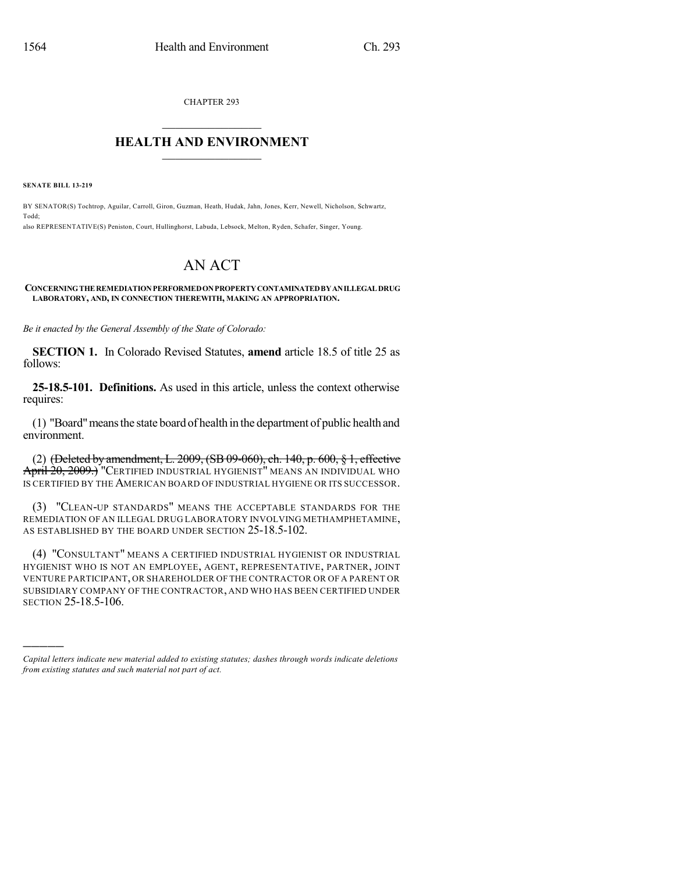CHAPTER 293

## $\mathcal{L}_\text{max}$  . The set of the set of the set of the set of the set of the set of the set of the set of the set of the set of the set of the set of the set of the set of the set of the set of the set of the set of the set **HEALTH AND ENVIRONMENT**  $\_$

**SENATE BILL 13-219**

)))))

BY SENATOR(S) Tochtrop, Aguilar, Carroll, Giron, Guzman, Heath, Hudak, Jahn, Jones, Kerr, Newell, Nicholson, Schwartz, Todd; also REPRESENTATIVE(S) Peniston, Court, Hullinghorst, Labuda, Lebsock, Melton, Ryden, Schafer, Singer, Young.

# AN ACT

#### **CONCERNINGTHE REMEDIATIONPERFORMEDONPROPERTYCONTAMINATEDBYANILLEGAL DRUG LABORATORY, AND, IN CONNECTION THEREWITH, MAKING AN APPROPRIATION.**

*Be it enacted by the General Assembly of the State of Colorado:*

**SECTION 1.** In Colorado Revised Statutes, **amend** article 18.5 of title 25 as follows:

**25-18.5-101. Definitions.** As used in this article, unless the context otherwise requires:

(1) "Board"meansthe state board of health in the department of public health and environment.

(2) (Deleted by amendment, L. 2009, (SB 09-060), ch. 140, p. 600, § 1, effective April 20, 2009.) "CERTIFIED INDUSTRIAL HYGIENIST" MEANS AN INDIVIDUAL WHO IS CERTIFIED BY THE AMERICAN BOARD OF INDUSTRIAL HYGIENE OR ITS SUCCESSOR.

(3) "CLEAN-UP STANDARDS" MEANS THE ACCEPTABLE STANDARDS FOR THE REMEDIATION OF AN ILLEGAL DRUG LABORATORY INVOLVING METHAMPHETAMINE, AS ESTABLISHED BY THE BOARD UNDER SECTION 25-18.5-102.

(4) "CONSULTANT" MEANS A CERTIFIED INDUSTRIAL HYGIENIST OR INDUSTRIAL HYGIENIST WHO IS NOT AN EMPLOYEE, AGENT, REPRESENTATIVE, PARTNER, JOINT VENTURE PARTICIPANT, OR SHAREHOLDER OF THE CONTRACTOR OR OF A PARENT OR SUBSIDIARY COMPANY OF THE CONTRACTOR, AND WHO HAS BEEN CERTIFIED UNDER SECTION 25-18.5-106.

*Capital letters indicate new material added to existing statutes; dashes through words indicate deletions from existing statutes and such material not part of act.*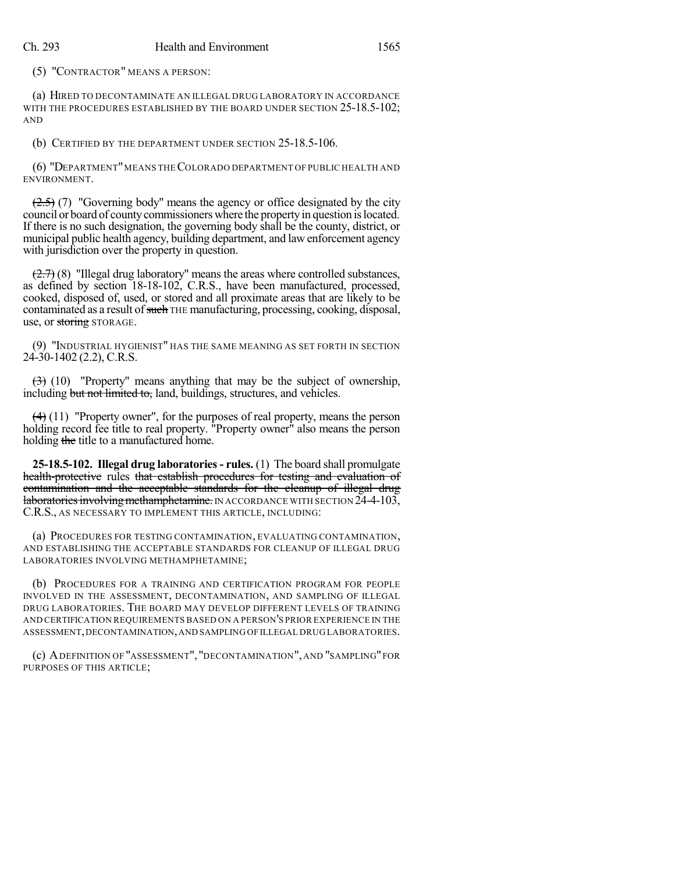(5) "CONTRACTOR" MEANS A PERSON:

(a) HIRED TO DECONTAMINATE AN ILLEGAL DRUG LABORATORY IN ACCORDANCE WITH THE PROCEDURES ESTABLISHED BY THE BOARD UNDER SECTION 25-18.5-102; AND

(b) CERTIFIED BY THE DEPARTMENT UNDER SECTION 25-18.5-106.

(6) "DEPARTMENT"MEANS THECOLORADO DEPARTMENT OF PUBLIC HEALTH AND ENVIRONMENT.

 $(2.5)$  (7) "Governing body" means the agency or office designated by the city council or board of countycommissioners where the propertyin question islocated. If there is no such designation, the governing body shall be the county, district, or municipal public health agency, building department, and law enforcement agency with jurisdiction over the property in question.

 $(2.7)$  (8) "Illegal drug laboratory" means the areas where controlled substances, as defined by section 18-18-102, C.R.S., have been manufactured, processed, cooked, disposed of, used, or stored and all proximate areas that are likely to be contaminated as a result of such THE manufacturing, processing, cooking, disposal, use, or storing STORAGE.

(9) "INDUSTRIAL HYGIENIST" HAS THE SAME MEANING AS SET FORTH IN SECTION 24-30-1402 (2.2), C.R.S.

 $(3)$  (10) "Property" means anything that may be the subject of ownership, including but not limited to, land, buildings, structures, and vehicles.

 $(4)$  (11) "Property owner", for the purposes of real property, means the person holding record fee title to real property. "Property owner" also means the person holding the title to a manufactured home.

**25-18.5-102. Illegal drug laboratories- rules.** (1) The board shall promulgate health-protective rules that establish procedures for testing and evaluation of contamination and the acceptable standards for the cleanup of illegal drug laboratories involving methamphetamine. IN ACCORDANCE WITH SECTION 24-4-103, C.R.S., AS NECESSARY TO IMPLEMENT THIS ARTICLE, INCLUDING:

(a) PROCEDURES FOR TESTING CONTAMINATION, EVALUATING CONTAMINATION, AND ESTABLISHING THE ACCEPTABLE STANDARDS FOR CLEANUP OF ILLEGAL DRUG LABORATORIES INVOLVING METHAMPHETAMINE;

(b) PROCEDURES FOR A TRAINING AND CERTIFICATION PROGRAM FOR PEOPLE INVOLVED IN THE ASSESSMENT, DECONTAMINATION, AND SAMPLING OF ILLEGAL DRUG LABORATORIES. THE BOARD MAY DEVELOP DIFFERENT LEVELS OF TRAINING AND CERTIFICATION REQUIREMENTS BASED ON A PERSON'S PRIOR EXPERIENCE IN THE ASSESSMENT,DECONTAMINATION,AND SAMPLING OF ILLEGAL DRUG LABORATORIES.

(c) ADEFINITION OF "ASSESSMENT", "DECONTAMINATION", AND "SAMPLING"FOR PURPOSES OF THIS ARTICLE;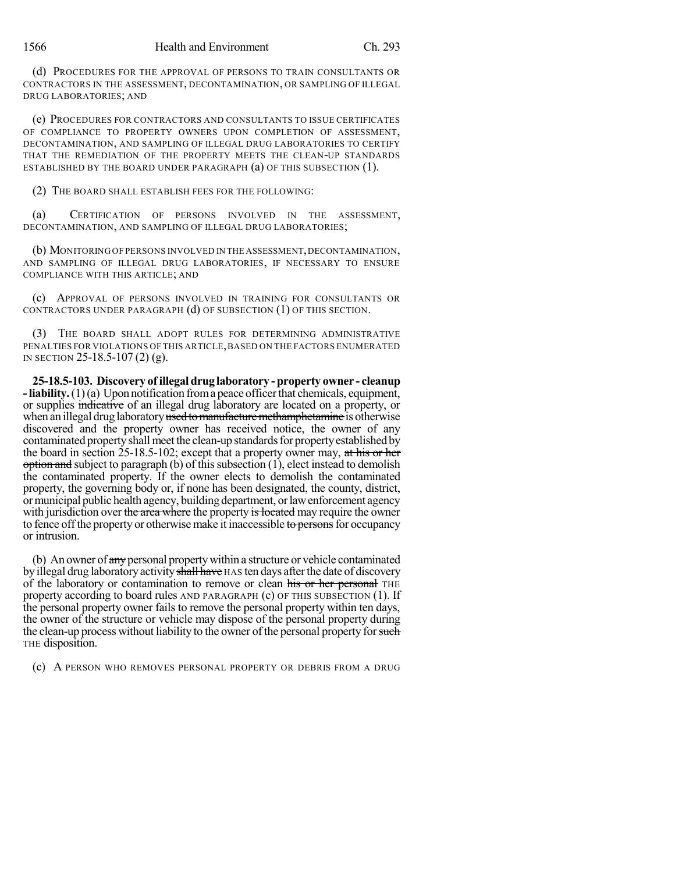(d) PROCEDURES FOR THE APPROVAL OF PERSONS TO TRAIN CONSULTANTS OR CONTRACTORS IN THE ASSESSMENT, DECONTAMINATION, OR SAMPLING OF ILLEGAL DRUG LABORATORIES; AND

(e) PROCEDURES FOR CONTRACTORS AND CONSULTANTS TO ISSUE CERTIFICATES OF COMPLIANCE TO PROPERTY OWNERS UPON COMPLETION OF ASSESSMENT, DECONTAMINATION, AND SAMPLING OF ILLEGAL DRUG LABORATORIES TO CERTIFY THAT THE REMEDIATION OF THE PROPERTY MEETS THE CLEAN-UP STANDARDS ESTABLISHED BY THE BOARD UNDER PARAGRAPH  $(a)$  OF THIS SUBSECTION  $(1)$ .

(2) THE BOARD SHALL ESTABLISH FEES FOR THE FOLLOWING:

(a) CERTIFICATION OF PERSONS INVOLVED IN THE ASSESSMENT, DECONTAMINATION, AND SAMPLING OF ILLEGAL DRUG LABORATORIES;

(b) MONITORING OF PERSONS INVOLVED IN THE ASSESSMENT,DECONTAMINATION, AND SAMPLING OF ILLEGAL DRUG LABORATORIES, IF NECESSARY TO ENSURE COMPLIANCE WITH THIS ARTICLE; AND

(c) APPROVAL OF PERSONS INVOLVED IN TRAINING FOR CONSULTANTS OR CONTRACTORS UNDER PARAGRAPH (d) OF SUBSECTION (1) OF THIS SECTION.

(3) THE BOARD SHALL ADOPT RULES FOR DETERMINING ADMINISTRATIVE PENALTIES FOR VIOLATIONS OF THIS ARTICLE, BASED ON THE FACTORS ENUMERATED IN SECTION 25-18.5-107 (2) (g).

**25-18.5-103. Discovery of illegal drug laboratory -property owner - cleanup -liability.**(1)(a) Upon notification froma peace officerthat chemicals, equipment, or supplies indicative of an illegal drug laboratory are located on a property, or when an illegal drug laboratory used to manufacture methamphetamine is otherwise discovered and the property owner has received notice, the owner of any contaminated property shall meet the clean-up standards for property established by the board in section 25-18.5-102; except that a property owner may, at his or her  $\phi$  option and subject to paragraph (b) of this subsection (1), elect instead to demolish the contaminated property. If the owner elects to demolish the contaminated property, the governing body or, if none has been designated, the county, district, ormunicipal public health agency, building department, orlawenforcement agency with jurisdiction over the area where the property is located may require the owner to fence off the property or otherwise make it inaccessible to persons for occupancy or intrusion.

(b) An owner of  $\frac{day}{dx}$  personal property within a structure or vehicle contaminated by illegal drug laboratory activity shall have HAS ten days after the date of discovery of the laboratory or contamination to remove or clean his or her personal THE property according to board rules AND PARAGRAPH (c) OF THIS SUBSECTION (1). If the personal property owner fails to remove the personal property within ten days, the owner of the structure or vehicle may dispose of the personal property during the clean-up process without liability to the owner of the personal property for such THE disposition.

(c) A PERSON WHO REMOVES PERSONAL PROPERTY OR DEBRIS FROM A DRUG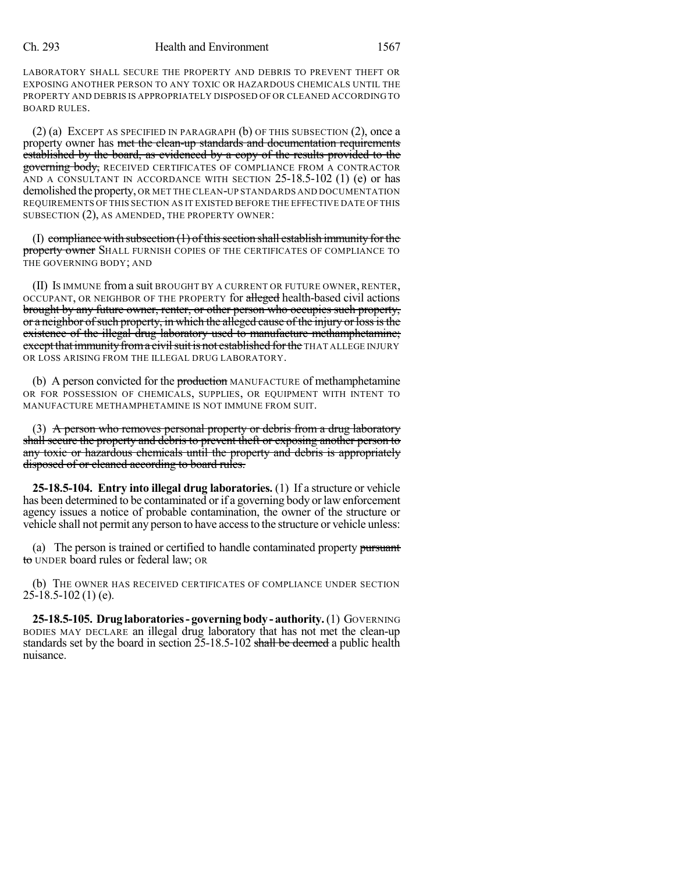#### Ch. 293 Health and Environment 1567

LABORATORY SHALL SECURE THE PROPERTY AND DEBRIS TO PREVENT THEFT OR EXPOSING ANOTHER PERSON TO ANY TOXIC OR HAZARDOUS CHEMICALS UNTIL THE PROPERTY AND DEBRIS IS APPROPRIATELY DISPOSED OF OR CLEANED ACCORDING TO BOARD RULES.

 $(2)$  (a) EXCEPT AS SPECIFIED IN PARAGRAPH (b) OF THIS SUBSECTION  $(2)$ , once a property owner has met the clean-up standards and documentation requirements established by the board, as evidenced by a copy of the results provided to the governing body, RECEIVED CERTIFICATES OF COMPLIANCE FROM A CONTRACTOR AND A CONSULTANT IN ACCORDANCE WITH SECTION 25-18.5-102 (1) (e) or has demolished the property, OR MET THE CLEAN-UP STANDARDS AND DOCUMENTATION REQUIREMENTS OF THIS SECTION AS IT EXISTED BEFORE THE EFFECTIVE DATE OF THIS SUBSECTION (2), AS AMENDED, THE PROPERTY OWNER:

 $(I)$  compliance with subsection  $(I)$  of this section shall establish immunity for the property owner SHALL FURNISH COPIES OF THE CERTIFICATES OF COMPLIANCE TO THE GOVERNING BODY; AND

(II) IS IMMUNE froma suit BROUGHT BY A CURRENT OR FUTURE OWNER, RENTER, OCCUPANT, OR NEIGHBOR OF THE PROPERTY for alleged health-based civil actions brought by any future owner, renter, or other person who occupies such property, or a neighbor of such property, in which the alleged cause of the injury or loss is the existence of the illegal drug laboratory used to manufacture methamphetamine; except that immunity from a civil suit is not established for the THAT ALLEGE INJURY OR LOSS ARISING FROM THE ILLEGAL DRUG LABORATORY.

(b) A person convicted for the **production** MANUFACTURE of methamphetamine OR FOR POSSESSION OF CHEMICALS, SUPPLIES, OR EQUIPMENT WITH INTENT TO MANUFACTURE METHAMPHETAMINE IS NOT IMMUNE FROM SUIT.

(3) A person who removes personal property or debris from a drug laboratory shall secure the property and debris to prevent theft or exposing another person to any toxic or hazardous chemicals until the property and debris is appropriately disposed of or cleaned according to board rules.

**25-18.5-104. Entry into illegal drug laboratories.** (1) If a structure or vehicle has been determined to be contaminated or if a governing body or law enforcement agency issues a notice of probable contamination, the owner of the structure or vehicle shall not permit any person to have accessto the structure or vehicle unless:

(a) The person is trained or certified to handle contaminated property pursuant to UNDER board rules or federal law; OR

(b) THE OWNER HAS RECEIVED CERTIFICATES OF COMPLIANCE UNDER SECTION  $25-18.5-102(1)$  (e).

**25-18.5-105. Drug laboratories- governingbody - authority.**(1) GOVERNING BODIES MAY DECLARE an illegal drug laboratory that has not met the clean-up standards set by the board in section 25-18.5-102 shall be deemed a public health nuisance.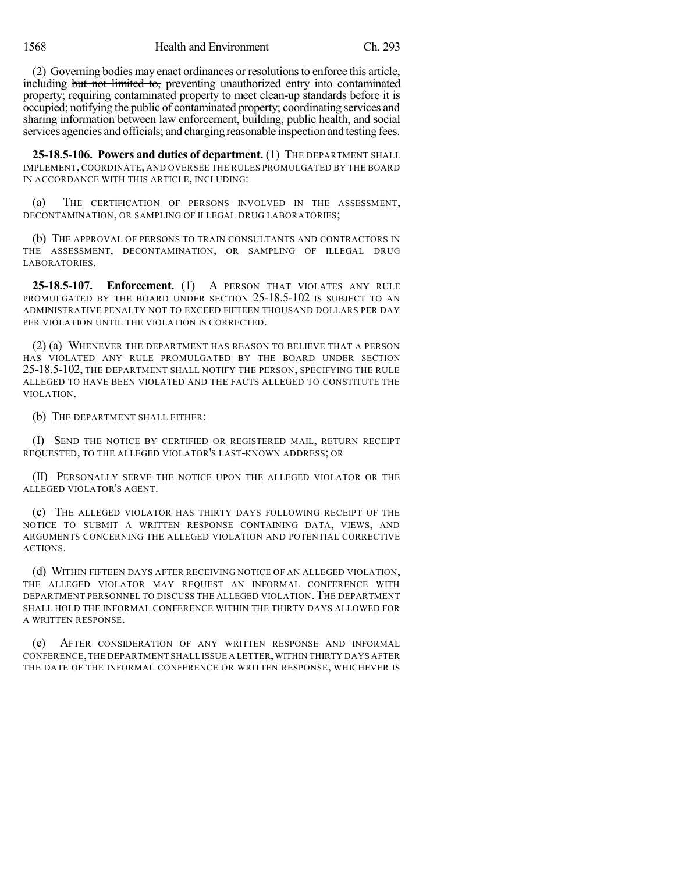(2) Governing bodies may enact ordinances or resolutionsto enforce this article, including but not limited to, preventing unauthorized entry into contaminated property; requiring contaminated property to meet clean-up standards before it is occupied; notifying the public of contaminated property; coordinating services and sharing information between law enforcement, building, public health, and social services agencies and officials; and chargingreasonable inspection and testing fees.

**25-18.5-106. Powers and duties of department.** (1) THE DEPARTMENT SHALL IMPLEMENT, COORDINATE, AND OVERSEE THE RULES PROMULGATED BY THE BOARD IN ACCORDANCE WITH THIS ARTICLE, INCLUDING:

(a) THE CERTIFICATION OF PERSONS INVOLVED IN THE ASSESSMENT, DECONTAMINATION, OR SAMPLING OF ILLEGAL DRUG LABORATORIES;

(b) THE APPROVAL OF PERSONS TO TRAIN CONSULTANTS AND CONTRACTORS IN THE ASSESSMENT, DECONTAMINATION, OR SAMPLING OF ILLEGAL DRUG LABORATORIES.

**25-18.5-107. Enforcement.** (1) A PERSON THAT VIOLATES ANY RULE PROMULGATED BY THE BOARD UNDER SECTION 25-18.5-102 IS SUBJECT TO AN ADMINISTRATIVE PENALTY NOT TO EXCEED FIFTEEN THOUSAND DOLLARS PER DAY PER VIOLATION UNTIL THE VIOLATION IS CORRECTED.

(2) (a) WHENEVER THE DEPARTMENT HAS REASON TO BELIEVE THAT A PERSON HAS VIOLATED ANY RULE PROMULGATED BY THE BOARD UNDER SECTION 25-18.5-102, THE DEPARTMENT SHALL NOTIFY THE PERSON, SPECIFYING THE RULE ALLEGED TO HAVE BEEN VIOLATED AND THE FACTS ALLEGED TO CONSTITUTE THE VIOLATION.

(b) THE DEPARTMENT SHALL EITHER:

(I) SEND THE NOTICE BY CERTIFIED OR REGISTERED MAIL, RETURN RECEIPT REQUESTED, TO THE ALLEGED VIOLATOR'S LAST-KNOWN ADDRESS; OR

(II) PERSONALLY SERVE THE NOTICE UPON THE ALLEGED VIOLATOR OR THE ALLEGED VIOLATOR'S AGENT.

(c) THE ALLEGED VIOLATOR HAS THIRTY DAYS FOLLOWING RECEIPT OF THE NOTICE TO SUBMIT A WRITTEN RESPONSE CONTAINING DATA, VIEWS, AND ARGUMENTS CONCERNING THE ALLEGED VIOLATION AND POTENTIAL CORRECTIVE ACTIONS.

(d) WITHIN FIFTEEN DAYS AFTER RECEIVING NOTICE OF AN ALLEGED VIOLATION, THE ALLEGED VIOLATOR MAY REQUEST AN INFORMAL CONFERENCE WITH DEPARTMENT PERSONNEL TO DISCUSS THE ALLEGED VIOLATION. THE DEPARTMENT SHALL HOLD THE INFORMAL CONFERENCE WITHIN THE THIRTY DAYS ALLOWED FOR A WRITTEN RESPONSE.

(e) AFTER CONSIDERATION OF ANY WRITTEN RESPONSE AND INFORMAL CONFERENCE,THE DEPARTMENT SHALL ISSUE A LETTER,WITHIN THIRTY DAYS AFTER THE DATE OF THE INFORMAL CONFERENCE OR WRITTEN RESPONSE, WHICHEVER IS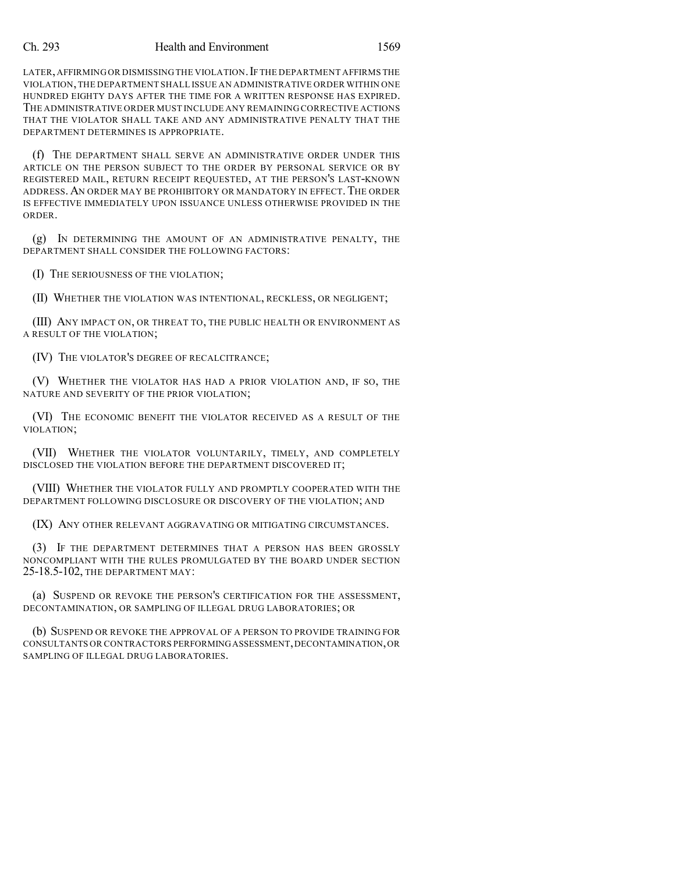### Ch. 293 Health and Environment 1569

LATER, AFFIRMING OR DISMISSING THE VIOLATION. IF THE DEPARTMENT AFFIRMS THE VIOLATION,THE DEPARTMENT SHALL ISSUE AN ADMINISTRATIVE ORDER WITHIN ONE HUNDRED EIGHTY DAYS AFTER THE TIME FOR A WRITTEN RESPONSE HAS EXPIRED. THE ADMINISTRATIVE ORDER MUST INCLUDE ANY REMAINING CORRECTIVE ACTIONS THAT THE VIOLATOR SHALL TAKE AND ANY ADMINISTRATIVE PENALTY THAT THE DEPARTMENT DETERMINES IS APPROPRIATE.

(f) THE DEPARTMENT SHALL SERVE AN ADMINISTRATIVE ORDER UNDER THIS ARTICLE ON THE PERSON SUBJECT TO THE ORDER BY PERSONAL SERVICE OR BY REGISTERED MAIL, RETURN RECEIPT REQUESTED, AT THE PERSON'S LAST-KNOWN ADDRESS. AN ORDER MAY BE PROHIBITORY OR MANDATORY IN EFFECT. THE ORDER IS EFFECTIVE IMMEDIATELY UPON ISSUANCE UNLESS OTHERWISE PROVIDED IN THE ORDER.

(g) IN DETERMINING THE AMOUNT OF AN ADMINISTRATIVE PENALTY, THE DEPARTMENT SHALL CONSIDER THE FOLLOWING FACTORS:

(I) THE SERIOUSNESS OF THE VIOLATION;

(II) WHETHER THE VIOLATION WAS INTENTIONAL, RECKLESS, OR NEGLIGENT;

(III) ANY IMPACT ON, OR THREAT TO, THE PUBLIC HEALTH OR ENVIRONMENT AS A RESULT OF THE VIOLATION;

(IV) THE VIOLATOR'S DEGREE OF RECALCITRANCE;

(V) WHETHER THE VIOLATOR HAS HAD A PRIOR VIOLATION AND, IF SO, THE NATURE AND SEVERITY OF THE PRIOR VIOLATION;

(VI) THE ECONOMIC BENEFIT THE VIOLATOR RECEIVED AS A RESULT OF THE VIOLATION;

(VII) WHETHER THE VIOLATOR VOLUNTARILY, TIMELY, AND COMPLETELY DISCLOSED THE VIOLATION BEFORE THE DEPARTMENT DISCOVERED IT;

(VIII) WHETHER THE VIOLATOR FULLY AND PROMPTLY COOPERATED WITH THE DEPARTMENT FOLLOWING DISCLOSURE OR DISCOVERY OF THE VIOLATION; AND

(IX) ANY OTHER RELEVANT AGGRAVATING OR MITIGATING CIRCUMSTANCES.

(3) IF THE DEPARTMENT DETERMINES THAT A PERSON HAS BEEN GROSSLY NONCOMPLIANT WITH THE RULES PROMULGATED BY THE BOARD UNDER SECTION 25-18.5-102, THE DEPARTMENT MAY:

(a) SUSPEND OR REVOKE THE PERSON'S CERTIFICATION FOR THE ASSESSMENT, DECONTAMINATION, OR SAMPLING OF ILLEGAL DRUG LABORATORIES; OR

(b) SUSPEND OR REVOKE THE APPROVAL OF A PERSON TO PROVIDE TRAINING FOR CONSULTANTS OR CONTRACTORS PERFORMINGASSESSMENT,DECONTAMINATION,OR SAMPLING OF ILLEGAL DRUG LABORATORIES.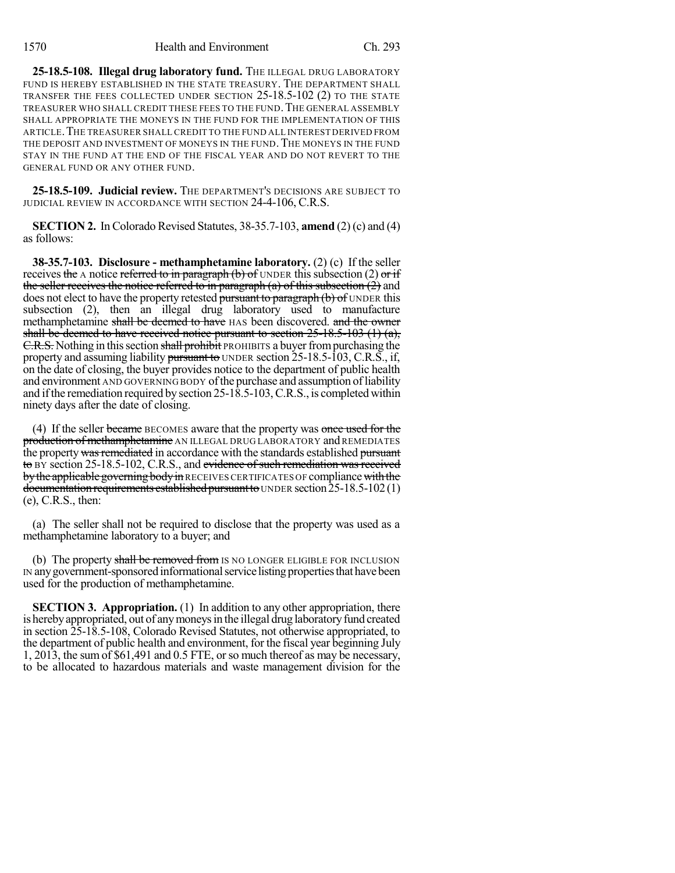**25-18.5-108. Illegal drug laboratory fund.** THE ILLEGAL DRUG LABORATORY FUND IS HEREBY ESTABLISHED IN THE STATE TREASURY. THE DEPARTMENT SHALL TRANSFER THE FEES COLLECTED UNDER SECTION 25-18.5-102 (2) TO THE STATE TREASURER WHO SHALL CREDIT THESE FEES TO THE FUND.THE GENERAL ASSEMBLY SHALL APPROPRIATE THE MONEYS IN THE FUND FOR THE IMPLEMENTATION OF THIS ARTICLE.THE TREASURER SHALL CREDIT TO THE FUND ALL INTEREST DERIVED FROM THE DEPOSIT AND INVESTMENT OF MONEYS IN THE FUND. THE MONEYS IN THE FUND STAY IN THE FUND AT THE END OF THE FISCAL YEAR AND DO NOT REVERT TO THE GENERAL FUND OR ANY OTHER FUND.

**25-18.5-109. Judicial review.** THE DEPARTMENT'S DECISIONS ARE SUBJECT TO JUDICIAL REVIEW IN ACCORDANCE WITH SECTION 24-4-106, C.R.S.

**SECTION 2.** In Colorado Revised Statutes, 38-35.7-103, **amend** (2) (c) and (4) as follows:

**38-35.7-103. Disclosure - methamphetamine laboratory.** (2) (c) If the seller receives the A notice referred to in paragraph (b) of UNDER this subsection (2) or if the seller receives the notice referred to in paragraph  $(a)$  of this subsection  $(2)$  and does not elect to have the property retested pursuant to paragraph (b) of UNDER this subsection (2), then an illegal drug laboratory used to manufacture methamphetamine shall be deemed to have HAS been discovered. and the owner shall be deemed to have received notice pursuant to section  $25-18.5-103$  (1) (a), C.R.S. Nothing in this section shall prohibit PROHIBITS a buyer from purchasing the property and assuming liability pursuant to UNDER section 25-18.5-103, C.R.S., if, on the date of closing, the buyer provides notice to the department of public health and environment AND GOVERNING BODY of the purchase and assumption of liability and ifthe remediation required by section 25-18.5-103,C.R.S., is completed within ninety days after the date of closing.

(4) If the seller became BECOMES aware that the property was once used for the production of methamphetamine AN ILLEGAL DRUG LABORATORY and REMEDIATES the property was remediated in accordance with the standards established pursuant to BY section 25-18.5-102, C.R.S., and evidence of such remediation wasreceived by the applicable governing body in RECEIVES CERTIFICATES OF compliance with the documentation requirements established pursuant to UNDER section  $25-18.5-102(1)$ (e), C.R.S., then:

(a) The seller shall not be required to disclose that the property was used as a methamphetamine laboratory to a buyer; and

(b) The property shall be removed from IS NO LONGER ELIGIBLE FOR INCLUSION IN any government-sponsored informational service listing properties that have been used for the production of methamphetamine.

**SECTION 3. Appropriation.** (1) In addition to any other appropriation, there is herebyappropriated, out of anymoneysin the illegal drug laboratoryfund created in section 25-18.5-108, Colorado Revised Statutes, not otherwise appropriated, to the department of public health and environment, for the fiscal year beginning July 1, 2013, the sum of \$61,491 and 0.5 FTE, orso much thereof as may be necessary, to be allocated to hazardous materials and waste management division for the